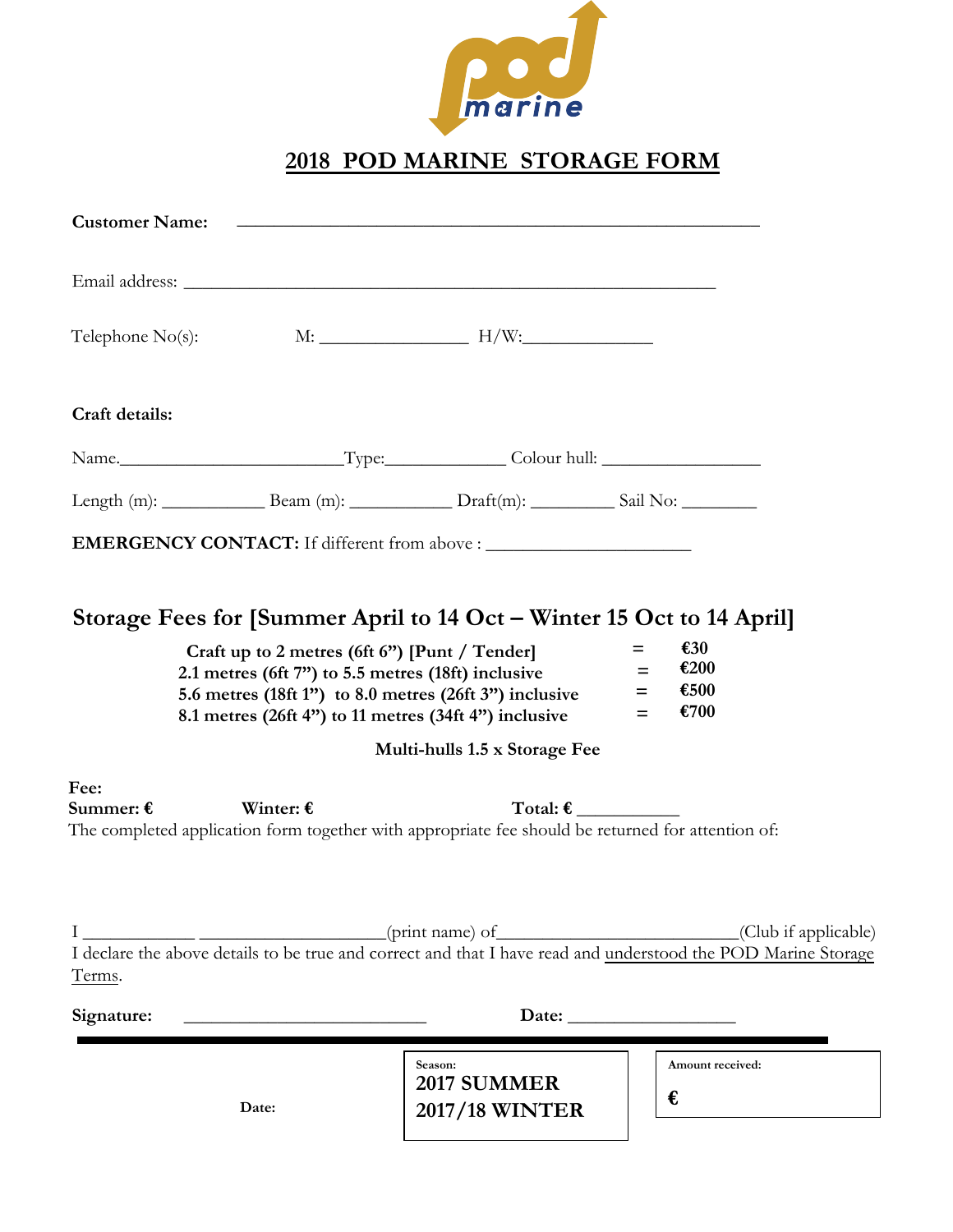

## **2018 POD MARINE STORAGE FORM**

| <b>Customer Name:</b>                                                                                                                                                                                                                                   |                    |                                                                                                   |                                                                                                                                                |
|---------------------------------------------------------------------------------------------------------------------------------------------------------------------------------------------------------------------------------------------------------|--------------------|---------------------------------------------------------------------------------------------------|------------------------------------------------------------------------------------------------------------------------------------------------|
|                                                                                                                                                                                                                                                         |                    |                                                                                                   |                                                                                                                                                |
|                                                                                                                                                                                                                                                         |                    | Telephone $No(s)$ : $M:$ $M:$ $H/W:$                                                              |                                                                                                                                                |
| Craft details:                                                                                                                                                                                                                                          |                    |                                                                                                   |                                                                                                                                                |
|                                                                                                                                                                                                                                                         |                    |                                                                                                   |                                                                                                                                                |
|                                                                                                                                                                                                                                                         |                    |                                                                                                   |                                                                                                                                                |
|                                                                                                                                                                                                                                                         |                    |                                                                                                   |                                                                                                                                                |
| Craft up to 2 metres (6ft 6") [Punt / Tender]<br>2.1 metres (6ft 7") to 5.5 metres (18ft) inclusive<br>5.6 metres (18ft 1") to 8.0 metres (26ft 3") inclusive<br>8.1 metres (26ft 4") to 11 metres (34ft 4") inclusive<br>Multi-hulls 1.5 x Storage Fee |                    |                                                                                                   | $\epsilon$ 30<br>$=$<br>€200<br>$=$<br>€500<br>$=$<br>€700<br>$=$                                                                              |
| Fee:<br>Summer: $\boldsymbol{\epsilon}$                                                                                                                                                                                                                 | Winter: $\epsilon$ | The completed application form together with appropriate fee should be returned for attention of: | Total: $\epsilon$                                                                                                                              |
| Terms.                                                                                                                                                                                                                                                  |                    |                                                                                                   | I (Club if applicable)<br>I declare the above details to be true and correct and that I have read and <u>understood the POD Marine Storage</u> |
| Signature:                                                                                                                                                                                                                                              |                    |                                                                                                   |                                                                                                                                                |
|                                                                                                                                                                                                                                                         | Date:              | Season:<br><b>2017 SUMMER</b><br><b>2017/18 WINTER</b>                                            | Amount received:<br>€                                                                                                                          |